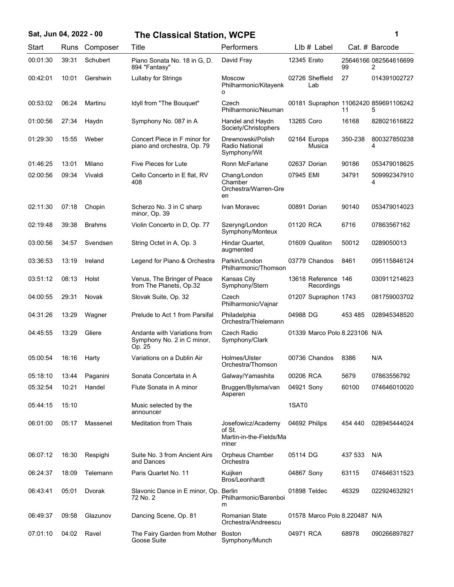|  |  |  | Sat, Jun 04, 2022 - 00 |  |
|--|--|--|------------------------|--|
|--|--|--|------------------------|--|

## **Sat, Jun 04, 2022 - 00 1 The Classical Station, WCPE**

| ï<br>۰. |  |
|---------|--|
|         |  |
|         |  |

| Start    | Runs  | Composer      | Title                                                                | Performers                                                        |             | LIb # Label                       |         | Cat. # Barcode                             |
|----------|-------|---------------|----------------------------------------------------------------------|-------------------------------------------------------------------|-------------|-----------------------------------|---------|--------------------------------------------|
| 00:01:30 | 39:31 | Schubert      | Piano Sonata No. 18 in G, D.<br>894 "Fantasy"                        | David Fray                                                        | 12345 Erato |                                   | 99      | 25646166 082564616699<br>2                 |
| 00:42:01 | 10:01 | Gershwin      | Lullaby for Strings                                                  | Moscow<br>Philharmonic/Kitayenk<br>о                              |             | 02726 Sheffield<br>Lab            | 27      | 014391002727                               |
| 00:53:02 | 06:24 | Martinu       | Idyll from "The Bouquet"                                             | Czech<br>Philharmonic/Neuman                                      |             |                                   | 11      | 00181 Supraphon 11062420 859691106242<br>5 |
| 01:00:56 | 27:34 | Haydn         | Symphony No. 087 in A                                                | Handel and Haydn<br>Society/Christophers                          | 13265 Coro  |                                   | 16168   | 828021616822                               |
| 01:29:30 | 15:55 | Weber         | Concert Piece in F minor for<br>piano and orchestra, Op. 79          | Drewnowski/Polish<br>Radio National<br>Symphony/Wit               |             | 02164 Europa<br>Musica            | 350-238 | 800327850238<br>4                          |
| 01:46:25 | 13:01 | Milano        | Five Pieces for Lute                                                 | Ronn McFarlane                                                    |             | 02637 Dorian                      | 90186   | 053479018625                               |
| 02:00:56 | 09:34 | Vivaldi       | Cello Concerto in E flat, RV<br>408                                  | Chang/London<br>Chamber<br>Orchestra/Warren-Gre<br>en             | 07945 EMI   |                                   | 34791   | 509992347910<br>4                          |
| 02:11:30 | 07:18 | Chopin        | Scherzo No. 3 in C sharp<br>minor, Op. 39                            | Ivan Moravec                                                      |             | 00891 Dorian                      | 90140   | 053479014023                               |
| 02:19:48 | 39:38 | <b>Brahms</b> | Violin Concerto in D, Op. 77                                         | Szeryng/London<br>Symphony/Monteux                                | 01120 RCA   |                                   | 6716    | 07863567162                                |
| 03:00:56 | 34:57 | Svendsen      | String Octet in A, Op. 3                                             | Hindar Quartet,<br>augmented                                      |             | 01609 Qualiton                    | 50012   | 0289050013                                 |
| 03:36:53 | 13:19 | Ireland       | Legend for Piano & Orchestra                                         | Parkin/London<br>Philharmonic/Thomson                             |             | 03779 Chandos                     | 8461    | 095115846124                               |
| 03:51:12 | 08:13 | Holst         | Venus, The Bringer of Peace<br>from The Planets, Op.32               | <b>Kansas City</b><br>Symphony/Stern                              |             | 13618 Reference 146<br>Recordings |         | 030911214623                               |
| 04:00:55 | 29:31 | Novak         | Slovak Suite, Op. 32                                                 | Czech<br>Philharmonic/Vajnar                                      |             | 01207 Supraphon 1743              |         | 081759003702                               |
| 04:31:26 | 13:29 | Wagner        | Prelude to Act 1 from Parsifal                                       | Philadelphia<br>Orchestra/Thielemann                              | 04988 DG    |                                   | 453 485 | 028945348520                               |
| 04:45:55 | 13:29 | Gliere        | Andante with Variations from<br>Symphony No. 2 in C minor,<br>Op. 25 | Czech Radio<br>Symphony/Clark                                     |             | 01339 Marco Polo 8.223106 N/A     |         |                                            |
| 05:00:54 | 16:16 | Harty         | Variations on a Dublin Air                                           | Holmes/Ulster<br>Orchestra/Thomson                                |             | 00736 Chandos                     | 8386    | N/A                                        |
| 05:18:10 | 13:44 | Paganini      | Sonata Concertata in A                                               | Galway/Yamashita                                                  | 00206 RCA   |                                   | 5679    | 07863556792                                |
| 05:32:54 | 10:21 | Handel        | Flute Sonata in A minor                                              | Bruggen/Bylsma/van<br>Asperen                                     | 04921 Sony  |                                   | 60100   | 074646010020                               |
| 05:44:15 | 15:10 |               | Music selected by the<br>announcer                                   |                                                                   | 1SAT0       |                                   |         |                                            |
| 06:01:00 | 05:17 | Massenet      | <b>Meditation from Thais</b>                                         | Josefowicz/Academy<br>of St.<br>Martin-in-the-Fields/Ma<br>rriner |             | 04692 Philips                     | 454 440 | 028945444024                               |
| 06:07:12 | 16:30 | Respighi      | Suite No. 3 from Ancient Airs<br>and Dances                          | Orpheus Chamber<br>Orchestra                                      | 05114 DG    |                                   | 437 533 | N/A                                        |
| 06:24:37 | 18:09 | Telemann      | Paris Quartet No. 11                                                 | Kuijken<br>Bros/Leonhardt                                         | 04867 Sony  |                                   | 63115   | 074646311523                               |
| 06:43:41 | 05:01 | Dvorak        | Slavonic Dance in E minor, Op. Berlin<br>72 No. 2                    | Philharmonic/Barenboi<br>m                                        |             | 01898 Teldec                      | 46329   | 022924632921                               |
| 06:49:37 | 09:58 | Glazunov      | Dancing Scene, Op. 81                                                | Romanian State<br>Orchestra/Andreescu                             |             | 01578 Marco Polo 8.220487 N/A     |         |                                            |
| 07:01:10 | 04:02 | Ravel         | The Fairy Garden from Mother<br>Goose Suite                          | Boston<br>Symphony/Munch                                          | 04971 RCA   |                                   | 68978   | 090266897827                               |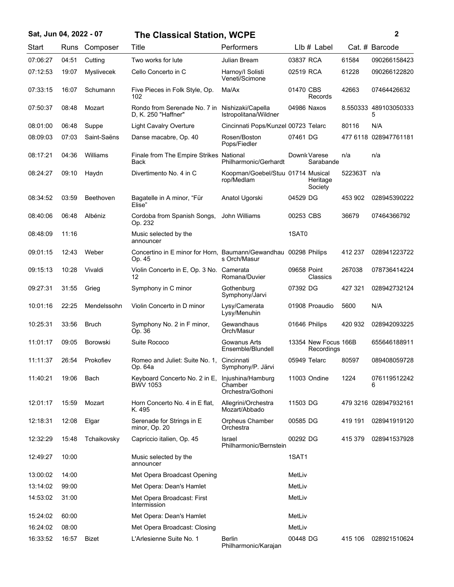| Sat, Jun 04, 2022 - 07 |       |                   | <b>The Classical Station, WCPE</b>                                        |                                                   |                                    |         | $\boldsymbol{2}$           |
|------------------------|-------|-------------------|---------------------------------------------------------------------------|---------------------------------------------------|------------------------------------|---------|----------------------------|
| Start                  |       | Runs Composer     | Title                                                                     | Performers                                        | LIb # Label                        |         | Cat. # Barcode             |
| 07:06:27               | 04:51 | Cutting           | Two works for lute                                                        | Julian Bream                                      | 03837 RCA                          | 61584   | 090266158423               |
| 07:12:53               | 19:07 | <b>Myslivecek</b> | Cello Concerto in C                                                       | Harnoy/I Solisti<br>Veneti/Scimone                | 02519 RCA                          | 61228   | 090266122820               |
| 07:33:15               | 16:07 | Schumann          | Five Pieces in Folk Style, Op.<br>102                                     | Ma/Ax                                             | 01470 CBS<br>Records               | 42663   | 07464426632                |
| 07:50:37               | 08:48 | Mozart            | Rondo from Serenade No. 7 in<br>D, K. 250 "Haffner"                       | Nishizaki/Capella<br>Istropolitana/Wildner        | 04986 Naxos                        |         | 8.550333 489103050333<br>5 |
| 08:01:00               | 06:48 | Suppe             | <b>Light Cavalry Overture</b>                                             | Cincinnati Pops/Kunzel 00723 Telarc               |                                    | 80116   | N/A                        |
| 08:09:03               | 07:03 | Saint-Saëns       | Danse macabre, Op. 40                                                     | Rosen/Boston<br>Pops/Fiedler                      | 07461 DG                           |         | 477 6118 028947761181      |
| 08:17:21               | 04:36 | Williams          | Finale from The Empire Strikes National<br>Back                           | Philharmonic/Gerhardt                             | Downk Varese<br>Sarabande          | n/a     | n/a                        |
| 08:24:27               | 09:10 | Haydn             | Divertimento No. 4 in C                                                   | Koopman/Goebel/Stuu 01714 Musical<br>rop/Medlam   | Heritage<br>Society                | 522363T | n/a                        |
| 08:34:52               | 03:59 | Beethoven         | Bagatelle in A minor, "Für<br>Elise"                                      | Anatol Ugorski                                    | 04529 DG                           | 453 902 | 028945390222               |
| 08:40:06               | 06:48 | Albéniz           | Cordoba from Spanish Songs,<br>Op. 232                                    | John Williams                                     | 00253 CBS                          | 36679   | 07464366792                |
| 08:48:09               | 11:16 |                   | Music selected by the<br>announcer                                        |                                                   | 1SAT0                              |         |                            |
| 09:01:15               | 12:43 | Weber             | Concertino in E minor for Horn, Baumann/Gewandhau 00298 Philips<br>Op. 45 | s Orch/Masur                                      |                                    | 412 237 | 028941223722               |
| 09:15:13               | 10:28 | Vivaldi           | Violin Concerto in E, Op. 3 No. Camerata<br>12                            | Romana/Duvier                                     | 09658 Point<br>Classics            | 267038  | 078736414224               |
| 09:27:31               | 31:55 | Grieg             | Symphony in C minor                                                       | Gothenburg<br>Symphony/Jarvi                      | 07392 DG                           | 427 321 | 028942732124               |
| 10:01:16               | 22:25 | Mendelssohn       | Violin Concerto in D minor                                                | Lysy/Camerata<br>Lysy/Menuhin                     | 01908 Proaudio                     | 5600    | N/A                        |
| 10:25:31               | 33:56 | <b>Bruch</b>      | Symphony No. 2 in F minor,<br>Op. 36                                      | Gewandhaus<br>Orch/Masur                          | 01646 Philips                      | 420 932 | 028942093225               |
| 11:01:17               | 09:05 | <b>Borowski</b>   | Suite Rococo                                                              | Gowanus Arts<br>Ensemble/Blundell                 | 13354 New Focus 166B<br>Recordings |         | 655646188911               |
| 11:11:37               | 26:54 | Prokofiev         | Romeo and Juliet: Suite No. 1. Cincinnati<br>Op. 64a                      | Symphony/P. Järvi                                 | 05949 Telarc                       | 80597   | 089408059728               |
| 11:40:21               | 19:06 | Bach              | Keyboard Concerto No. 2 in E,<br><b>BWV 1053</b>                          | Injushina/Hamburg<br>Chamber<br>Orchestra/Gothoni | 11003 Ondine                       | 1224    | 076119512242<br>6          |
| 12:01:17               | 15:59 | Mozart            | Horn Concerto No. 4 in E flat,<br>K. 495                                  | Allegrini/Orchestra<br>Mozart/Abbado              | 11503 DG                           |         | 479 3216 028947932161      |
| 12:18:31               | 12:08 | Elgar             | Serenade for Strings in E<br>minor, Op. 20                                | Orpheus Chamber<br>Orchestra                      | 00585 DG                           | 419 191 | 028941919120               |
| 12:32:29               | 15:48 | Tchaikovsky       | Capriccio italien, Op. 45                                                 | Israel<br>Philharmonic/Bernstein                  | 00292 DG                           | 415 379 | 028941537928               |
| 12:49:27               | 10:00 |                   | Music selected by the<br>announcer                                        |                                                   | 1SAT1                              |         |                            |
| 13:00:02               | 14:00 |                   | Met Opera Broadcast Opening                                               |                                                   | MetLiv                             |         |                            |
| 13:14:02               | 99:00 |                   | Met Opera: Dean's Hamlet                                                  |                                                   | MetLiv                             |         |                            |
| 14:53:02               | 31:00 |                   | Met Opera Broadcast: First<br>Intermission                                |                                                   | MetLiv                             |         |                            |
| 15:24:02               | 60:00 |                   | Met Opera: Dean's Hamlet                                                  |                                                   | MetLiv                             |         |                            |
| 16:24:02               | 08:00 |                   | Met Opera Broadcast: Closing                                              |                                                   | MetLiv                             |         |                            |
| 16:33:52               | 16:57 | Bizet             | L'Arlesienne Suite No. 1                                                  | Berlin<br>Philharmonic/Karajan                    | 00448 DG                           | 415 106 | 028921510624               |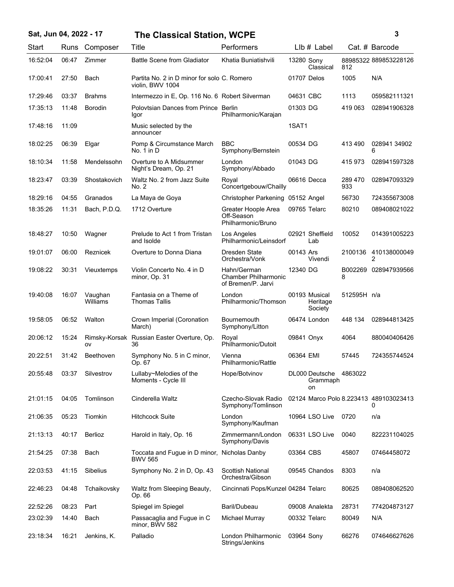## **Sat, Jun 04, 2022 - 17 3 The Classical Station, WCPE**

| ٦ |   |  |
|---|---|--|
|   |   |  |
|   |   |  |
|   |   |  |
|   | I |  |

| Start    | Runs  | Composer            | Title                                                           | Performers                                                       |              | LIb # Label                              |                | Cat. # Barcode                              |
|----------|-------|---------------------|-----------------------------------------------------------------|------------------------------------------------------------------|--------------|------------------------------------------|----------------|---------------------------------------------|
| 16:52:04 | 06:47 | Zimmer              | <b>Battle Scene from Gladiator</b>                              | Khatia Buniatishvili                                             | 13280 Sony   | Classical                                | 812            | 88985322 889853228126                       |
| 17:00:41 | 27:50 | Bach                | Partita No. 2 in D minor for solo C. Romero<br>violin, BWV 1004 |                                                                  | 01707 Delos  |                                          | 1005           | N/A                                         |
| 17:29:46 | 03:37 | <b>Brahms</b>       | Intermezzo in E, Op. 116 No. 6 Robert Silverman                 |                                                                  | 04631 CBC    |                                          | 1113           | 059582111321                                |
| 17:35:13 | 11:48 | <b>Borodin</b>      | Polovtsian Dances from Prince Berlin<br>Igor                    | Philharmonic/Karajan                                             | 01303 DG     |                                          | 419 063        | 028941906328                                |
| 17:48:16 | 11:09 |                     | Music selected by the<br>announcer                              |                                                                  | 1SAT1        |                                          |                |                                             |
| 18:02:25 | 06:39 | Elgar               | Pomp & Circumstance March<br>No. 1 in D                         | <b>BBC</b><br>Symphony/Bernstein                                 | 00534 DG     |                                          | 413 490        | 028941 34902<br>6                           |
| 18:10:34 | 11:58 | Mendelssohn         | Overture to A Midsummer<br>Night's Dream, Op. 21                | London<br>Symphony/Abbado                                        | 01043 DG     |                                          | 415973         | 028941597328                                |
| 18:23:47 | 03:39 | Shostakovich        | Waltz No. 2 from Jazz Suite<br>No. 2                            | Royal<br>Concertgebouw/Chailly                                   |              | 06616 Decca                              | 289 470<br>933 | 028947093329                                |
| 18:29:16 | 04:55 | Granados            | La Maya de Goya                                                 | Christopher Parkening 05152 Angel                                |              |                                          | 56730          | 724355673008                                |
| 18:35:26 | 11:31 | Bach, P.D.Q.        | 1712 Overture                                                   | Greater Hoople Area<br>Off-Season<br>Philharmonic/Bruno          |              | 09765 Telarc                             | 80210          | 089408021022                                |
| 18:48:27 | 10:50 | Wagner              | Prelude to Act 1 from Tristan<br>and Isolde                     | Los Angeles<br>Philharmonic/Leinsdorf                            |              | 02921 Sheffield<br>Lab                   | 10052          | 014391005223                                |
| 19:01:07 | 06:00 | Reznicek            | Overture to Donna Diana                                         | Dresden State<br>Orchestra/Vonk                                  | 00143 Ars    | Vivendi                                  | 2100136        | 410138000049<br>2                           |
| 19:08:22 | 30:31 | Vieuxtemps          | Violin Concerto No. 4 in D<br>minor, Op. 31                     | Hahn/German<br><b>Chamber Philharmonic</b><br>of Bremen/P. Jarvi | 12340 DG     |                                          | 8              | B002269 028947939566                        |
| 19:40:08 | 16:07 | Vaughan<br>Williams | Fantasia on a Theme of<br>Thomas Tallis                         | London<br>Philharmonic/Thomson                                   |              | 00193 Musical<br>Heritage<br>Society     | 512595H n/a    |                                             |
| 19:58:05 | 06:52 | Walton              | Crown Imperial (Coronation<br>March)                            | Bournemouth<br>Symphony/Litton                                   |              | 06474 London                             | 448 134        | 028944813425                                |
| 20:06:12 | 15:24 | ov                  | Rimsky-Korsak Russian Easter Overture, Op.<br>36                | Royal<br>Philharmonic/Dutoit                                     | 09841 Onyx   |                                          | 4064           | 880040406426                                |
| 20:22:51 | 31:42 | Beethoven           | Symphony No. 5 in C minor,<br>Op. 67                            | Vienna<br>Philharmonic/Rattle                                    | 06364 EMI    |                                          | 57445          | 724355744524                                |
| 20:55:48 | 03:37 | Silvestrov          | Lullaby~Melodies of the<br>Moments - Cycle III                  | Hope/Botvinov                                                    |              | DL000 Deutsche 4863022<br>Grammaph<br>on |                |                                             |
| 21:01:15 | 04:05 | Tomlinson           | Cinderella Waltz                                                | Czecho-Slovak Radio<br>Symphony/Tomlinson                        |              |                                          |                | 02124 Marco Polo 8.223413 489103023413<br>0 |
| 21:06:35 | 05:23 | Tiomkin             | <b>Hitchcock Suite</b>                                          | London<br>Symphony/Kaufman                                       |              | 10964 LSO Live                           | 0720           | n/a                                         |
| 21:13:13 | 40:17 | Berlioz             | Harold in Italy, Op. 16                                         | Zimmermann/London<br>Symphony/Davis                              |              | 06331 LSO Live                           | 0040           | 822231104025                                |
| 21:54:25 | 07:38 | Bach                | Toccata and Fugue in D minor, Nicholas Danby<br><b>BWV 565</b>  |                                                                  | 03364 CBS    |                                          | 45807          | 07464458072                                 |
| 22:03:53 | 41:15 | Sibelius            | Symphony No. 2 in D, Op. 43                                     | Scottish National<br>Orchestra/Gibson                            |              | 09545 Chandos                            | 8303           | n/a                                         |
| 22:46:23 | 04:48 | Tchaikovsky         | Waltz from Sleeping Beauty,<br>Op. 66                           | Cincinnati Pops/Kunzel 04284 Telarc                              |              |                                          | 80625          | 089408062520                                |
| 22:52:26 | 08:23 | Part                | Spiegel im Spiegel                                              | Baril/Dubeau                                                     |              | 09008 Analekta                           | 28731          | 774204873127                                |
| 23:02:39 | 14:40 | Bach                | Passacaglia and Fugue in C<br>minor, BWV 582                    | Michael Murray                                                   | 00332 Telarc |                                          | 80049          | N/A                                         |
| 23:18:34 | 16:21 | Jenkins, K.         | Palladio                                                        | London Philharmonic<br>Strings/Jenkins                           | 03964 Sony   |                                          | 66276          | 074646627626                                |